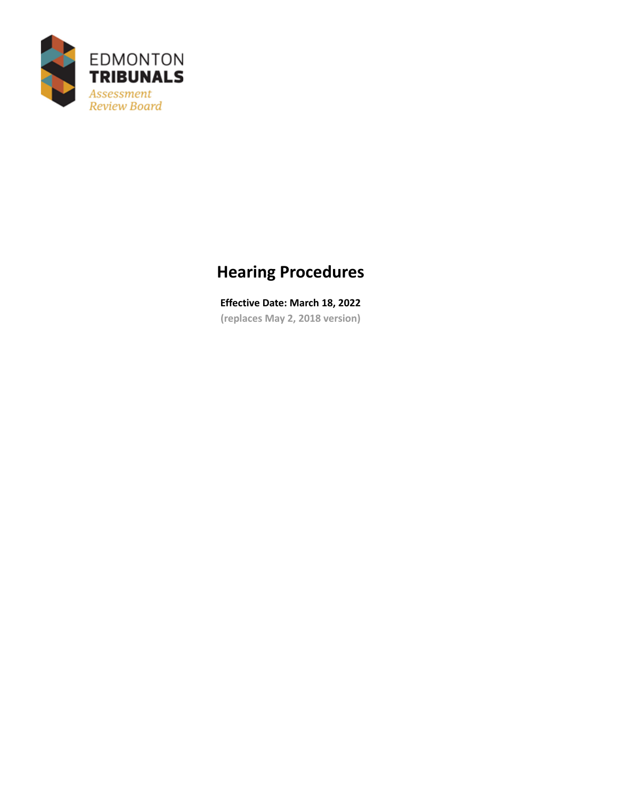

# **Hearing Procedures**

**Effective Date: March 18, 2022 (replaces May 2, 2018 version)**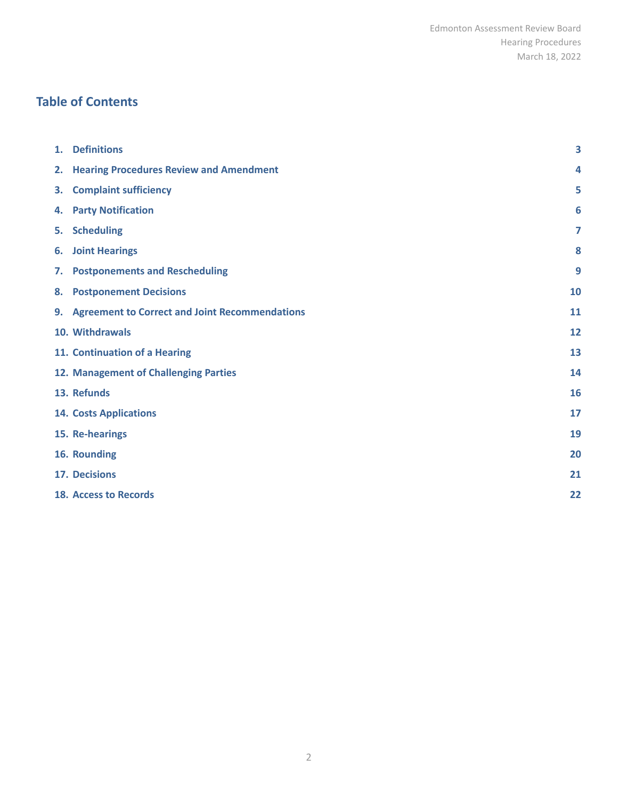#### **Table of Contents**

| 1. | <b>Definitions</b>                                | 3  |
|----|---------------------------------------------------|----|
| 2. | <b>Hearing Procedures Review and Amendment</b>    | 4  |
| 3. | <b>Complaint sufficiency</b>                      | 5  |
|    | 4. Party Notification                             | 6  |
| 5. | <b>Scheduling</b>                                 | 7  |
| 6. | <b>Joint Hearings</b>                             | 8  |
| 7. | <b>Postponements and Rescheduling</b>             | 9  |
| 8. | <b>Postponement Decisions</b>                     | 10 |
|    | 9. Agreement to Correct and Joint Recommendations | 11 |
|    | 10. Withdrawals                                   | 12 |
|    | 11. Continuation of a Hearing                     | 13 |
|    | 12. Management of Challenging Parties             | 14 |
|    | 13. Refunds                                       | 16 |
|    | <b>14. Costs Applications</b>                     | 17 |
|    | 15. Re-hearings                                   | 19 |
|    | 16. Rounding                                      | 20 |
|    | 17. Decisions                                     | 21 |
|    | <b>18. Access to Records</b>                      | 22 |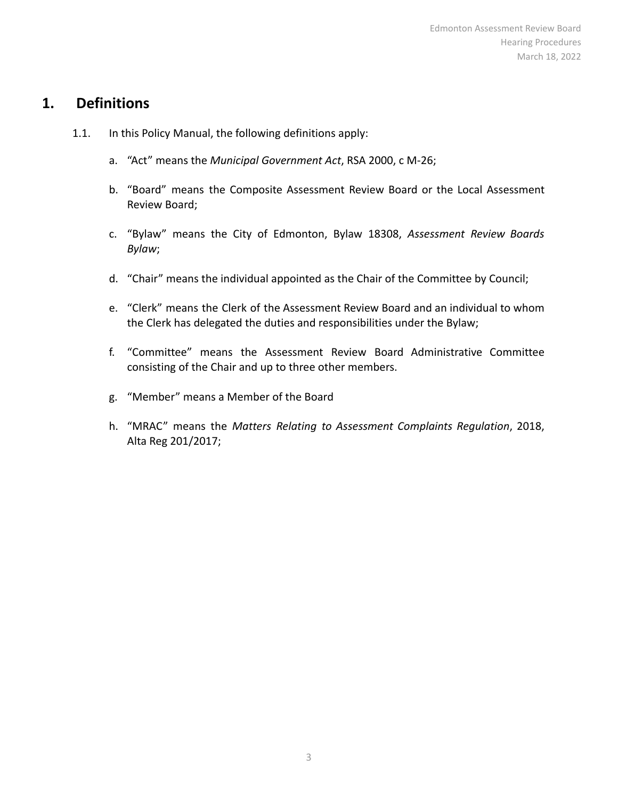#### <span id="page-2-0"></span>**1. Definitions**

- 1.1. In this Policy Manual, the following definitions apply:
	- a. "Act" means the *Municipal Government Act*, RSA 2000, c M-26;
	- b. "Board" means the Composite Assessment Review Board or the Local Assessment Review Board;
	- c. "Bylaw" means the City of Edmonton, Bylaw 18308, *Assessment Review Boards Bylaw*;
	- d. "Chair" means the individual appointed as the Chair of the Committee by Council;
	- e. "Clerk" means the Clerk of the Assessment Review Board and an individual to whom the Clerk has delegated the duties and responsibilities under the Bylaw;
	- f. "Committee" means the Assessment Review Board Administrative Committee consisting of the Chair and up to three other members.
	- g. "Member" means a Member of the Board
	- h. "MRAC" means the *Matters Relating to Assessment Complaints Regulation*, 2018, Alta Reg 201/2017;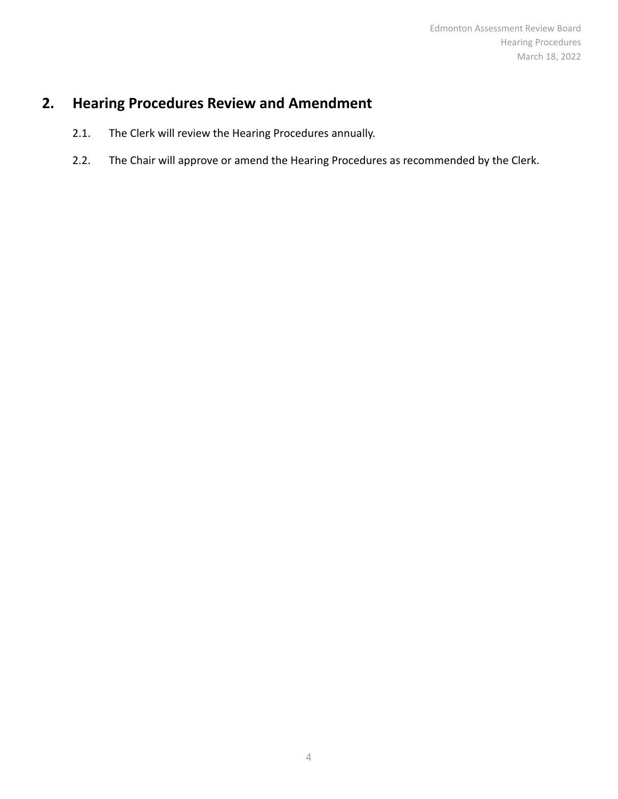# <span id="page-3-0"></span>**2. Hearing Procedures Review and Amendment**

- 2.1. The Clerk will review the Hearing Procedures annually.
- 2.2. The Chair will approve or amend the Hearing Procedures as recommended by the Clerk.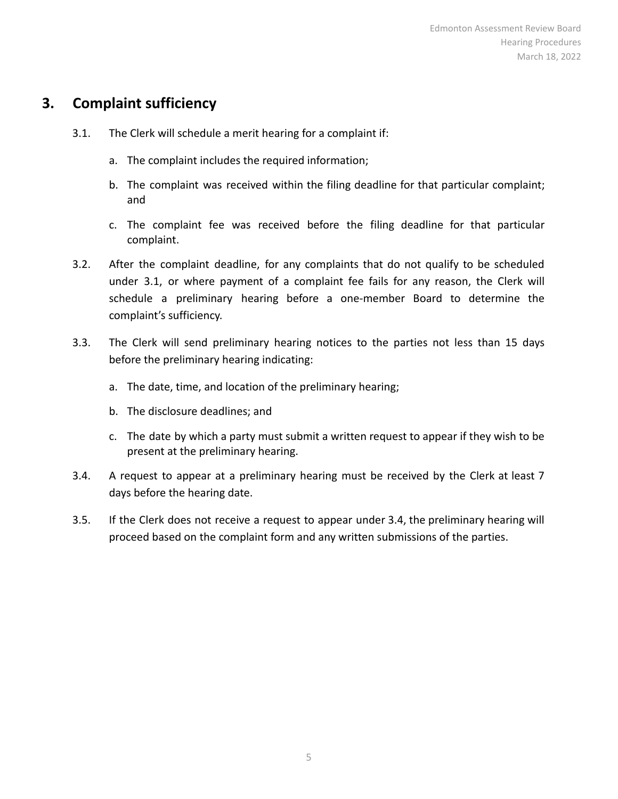#### <span id="page-4-0"></span>**3. Complaint sufficiency**

- 3.1. The Clerk will schedule a merit hearing for a complaint if:
	- a. The complaint includes the required information;
	- b. The complaint was received within the filing deadline for that particular complaint; and
	- c. The complaint fee was received before the filing deadline for that particular complaint.
- 3.2. After the complaint deadline, for any complaints that do not qualify to be scheduled under 3.1, or where payment of a complaint fee fails for any reason, the Clerk will schedule a preliminary hearing before a one-member Board to determine the complaint's sufficiency.
- 3.3. The Clerk will send preliminary hearing notices to the parties not less than 15 days before the preliminary hearing indicating:
	- a. The date, time, and location of the preliminary hearing;
	- b. The disclosure deadlines; and
	- c. The date by which a party must submit a written request to appear if they wish to be present at the preliminary hearing.
- 3.4. A request to appear at a preliminary hearing must be received by the Clerk at least 7 days before the hearing date.
- 3.5. If the Clerk does not receive a request to appear under 3.4, the preliminary hearing will proceed based on the complaint form and any written submissions of the parties.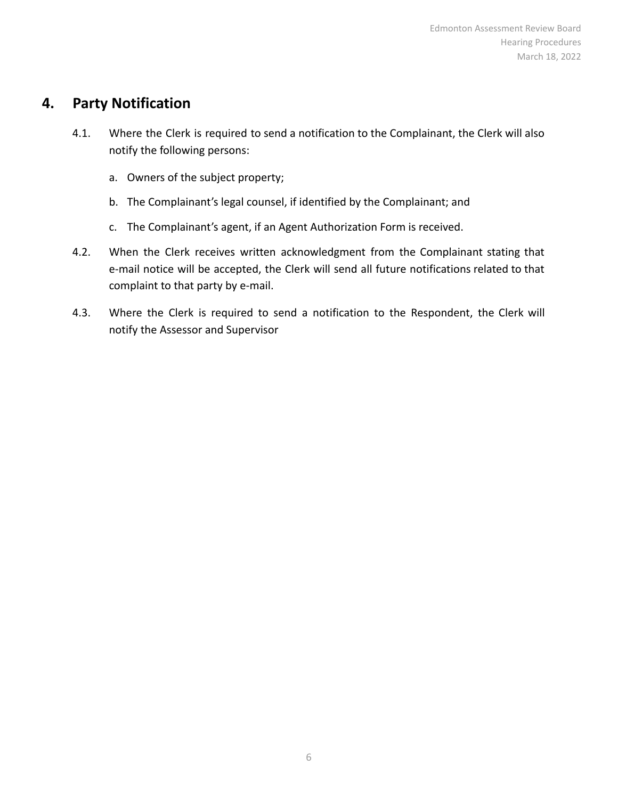### <span id="page-5-0"></span>**4. Party Notification**

- 4.1. Where the Clerk is required to send a notification to the Complainant, the Clerk will also notify the following persons:
	- a. Owners of the subject property;
	- b. The Complainant's legal counsel, if identified by the Complainant; and
	- c. The Complainant's agent, if an Agent Authorization Form is received.
- 4.2. When the Clerk receives written acknowledgment from the Complainant stating that e-mail notice will be accepted, the Clerk will send all future notifications related to that complaint to that party by e-mail.
- 4.3. Where the Clerk is required to send a notification to the Respondent, the Clerk will notify the Assessor and Supervisor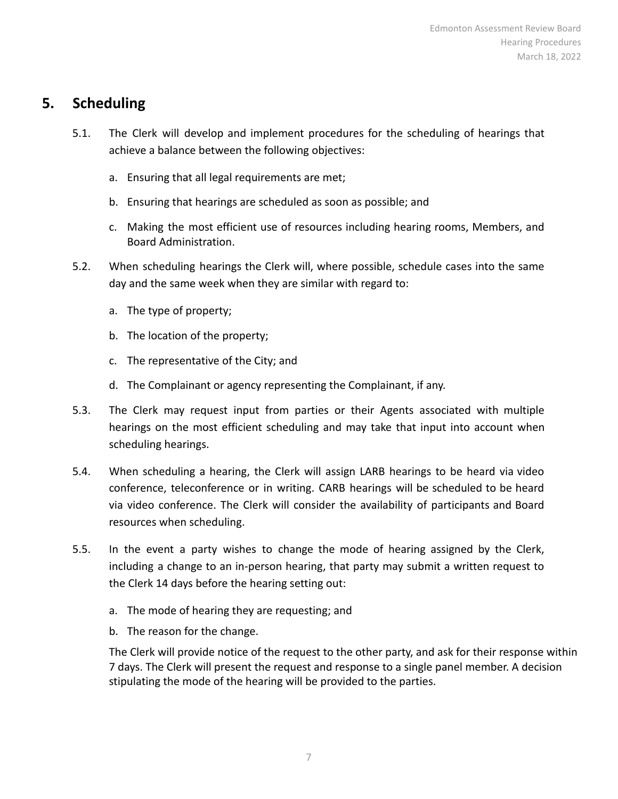#### <span id="page-6-0"></span>**5. Scheduling**

- 5.1. The Clerk will develop and implement procedures for the scheduling of hearings that achieve a balance between the following objectives:
	- a. Ensuring that all legal requirements are met;
	- b. Ensuring that hearings are scheduled as soon as possible; and
	- c. Making the most efficient use of resources including hearing rooms, Members, and Board Administration.
- 5.2. When scheduling hearings the Clerk will, where possible, schedule cases into the same day and the same week when they are similar with regard to:
	- a. The type of property;
	- b. The location of the property;
	- c. The representative of the City; and
	- d. The Complainant or agency representing the Complainant, if any.
- 5.3. The Clerk may request input from parties or their Agents associated with multiple hearings on the most efficient scheduling and may take that input into account when scheduling hearings.
- 5.4. When scheduling a hearing, the Clerk will assign LARB hearings to be heard via video conference, teleconference or in writing. CARB hearings will be scheduled to be heard via video conference. The Clerk will consider the availability of participants and Board resources when scheduling.
- 5.5. In the event a party wishes to change the mode of hearing assigned by the Clerk, including a change to an in-person hearing, that party may submit a written request to the Clerk 14 days before the hearing setting out:
	- a. The mode of hearing they are requesting; and
	- b. The reason for the change.

The Clerk will provide notice of the request to the other party, and ask for their response within 7 days. The Clerk will present the request and response to a single panel member. A decision stipulating the mode of the hearing will be provided to the parties.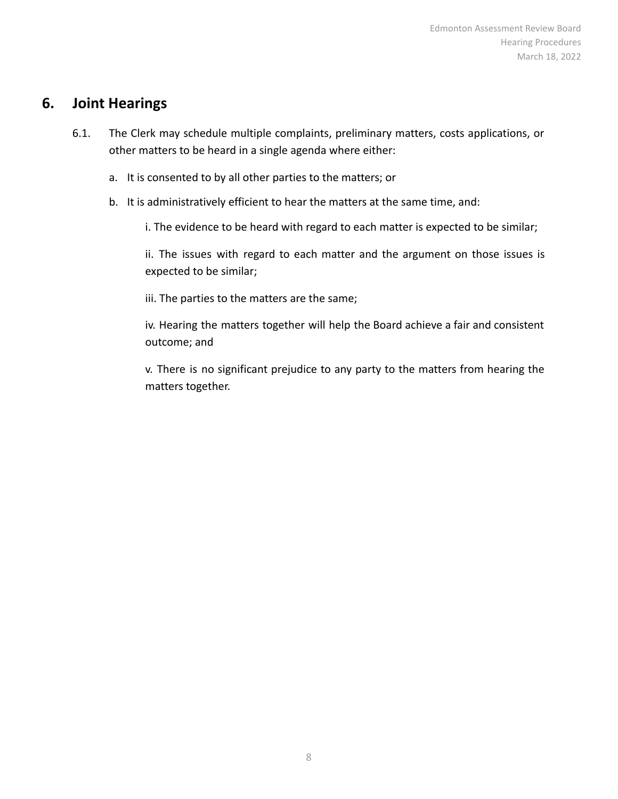#### <span id="page-7-0"></span>**6. Joint Hearings**

- 6.1. The Clerk may schedule multiple complaints, preliminary matters, costs applications, or other matters to be heard in a single agenda where either:
	- a. It is consented to by all other parties to the matters; or
	- b. It is administratively efficient to hear the matters at the same time, and:

i. The evidence to be heard with regard to each matter is expected to be similar;

ii. The issues with regard to each matter and the argument on those issues is expected to be similar;

iii. The parties to the matters are the same;

iv. Hearing the matters together will help the Board achieve a fair and consistent outcome; and

v. There is no significant prejudice to any party to the matters from hearing the matters together.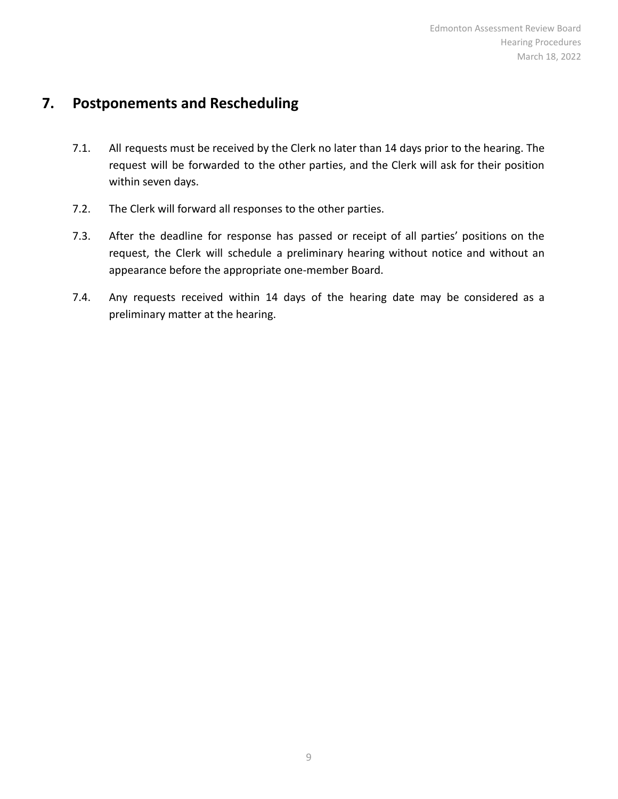#### <span id="page-8-0"></span>**7. Postponements and Rescheduling**

- 7.1. All requests must be received by the Clerk no later than 14 days prior to the hearing. The request will be forwarded to the other parties, and the Clerk will ask for their position within seven days.
- 7.2. The Clerk will forward all responses to the other parties.
- 7.3. After the deadline for response has passed or receipt of all parties' positions on the request, the Clerk will schedule a preliminary hearing without notice and without an appearance before the appropriate one-member Board.
- 7.4. Any requests received within 14 days of the hearing date may be considered as a preliminary matter at the hearing.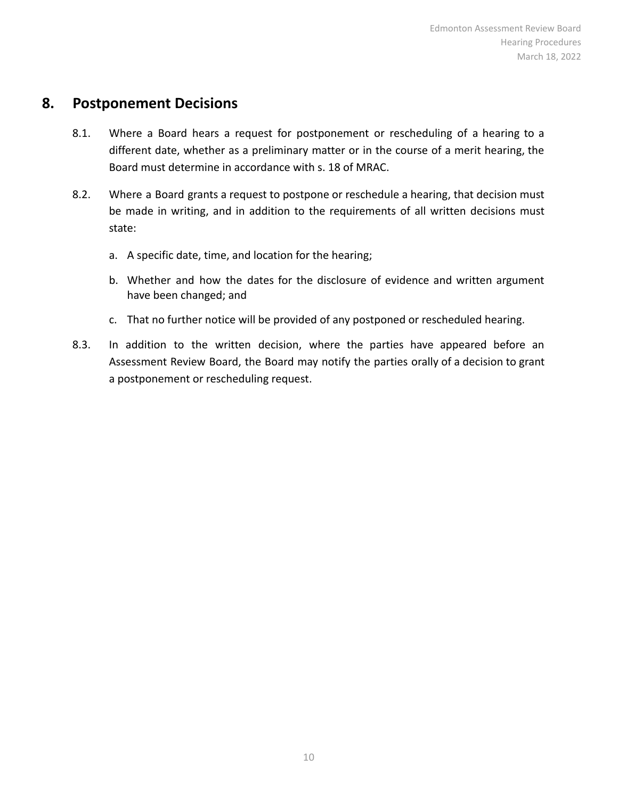#### <span id="page-9-0"></span>**8. Postponement Decisions**

- 8.1. Where a Board hears a request for postponement or rescheduling of a hearing to a different date, whether as a preliminary matter or in the course of a merit hearing, the Board must determine in accordance with s. 18 of MRAC.
- 8.2. Where a Board grants a request to postpone or reschedule a hearing, that decision must be made in writing, and in addition to the requirements of all written decisions must state:
	- a. A specific date, time, and location for the hearing;
	- b. Whether and how the dates for the disclosure of evidence and written argument have been changed; and
	- c. That no further notice will be provided of any postponed or rescheduled hearing.
- 8.3. In addition to the written decision, where the parties have appeared before an Assessment Review Board, the Board may notify the parties orally of a decision to grant a postponement or rescheduling request.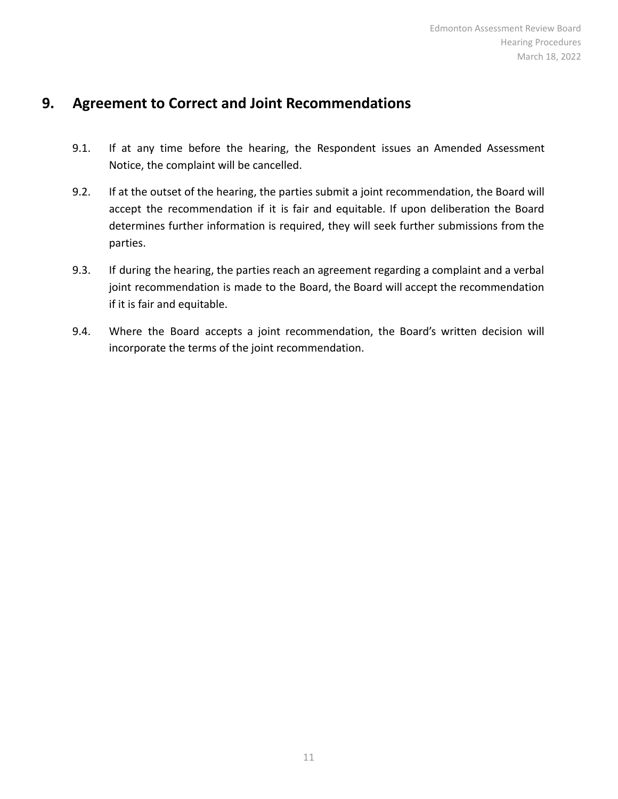#### <span id="page-10-0"></span>**9. Agreement to Correct and Joint Recommendations**

- 9.1. If at any time before the hearing, the Respondent issues an Amended Assessment Notice, the complaint will be cancelled.
- 9.2. If at the outset of the hearing, the parties submit a joint recommendation, the Board will accept the recommendation if it is fair and equitable. If upon deliberation the Board determines further information is required, they will seek further submissions from the parties.
- 9.3. If during the hearing, the parties reach an agreement regarding a complaint and a verbal joint recommendation is made to the Board, the Board will accept the recommendation if it is fair and equitable.
- 9.4. Where the Board accepts a joint recommendation, the Board's written decision will incorporate the terms of the joint recommendation.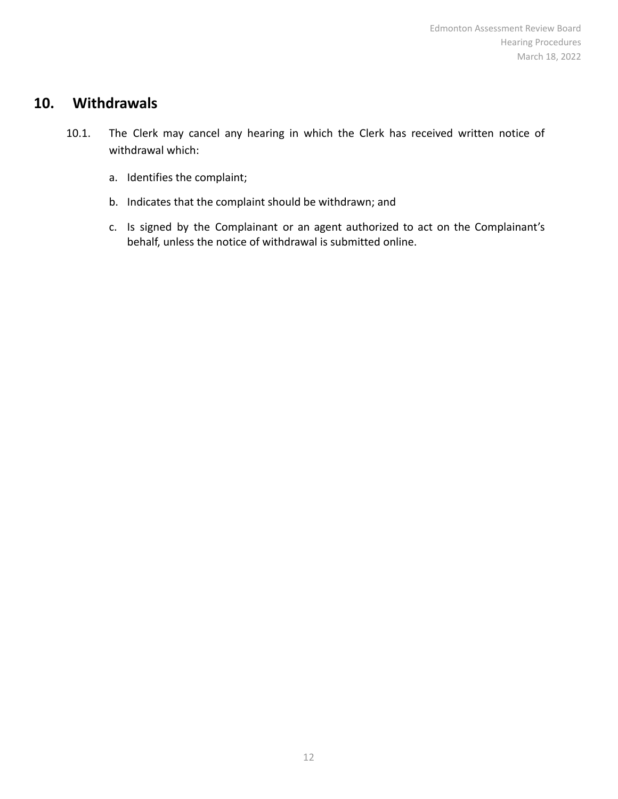#### <span id="page-11-0"></span>**10. Withdrawals**

- 10.1. The Clerk may cancel any hearing in which the Clerk has received written notice of withdrawal which:
	- a. Identifies the complaint;
	- b. Indicates that the complaint should be withdrawn; and
	- c. Is signed by the Complainant or an agent authorized to act on the Complainant's behalf, unless the notice of withdrawal is submitted online.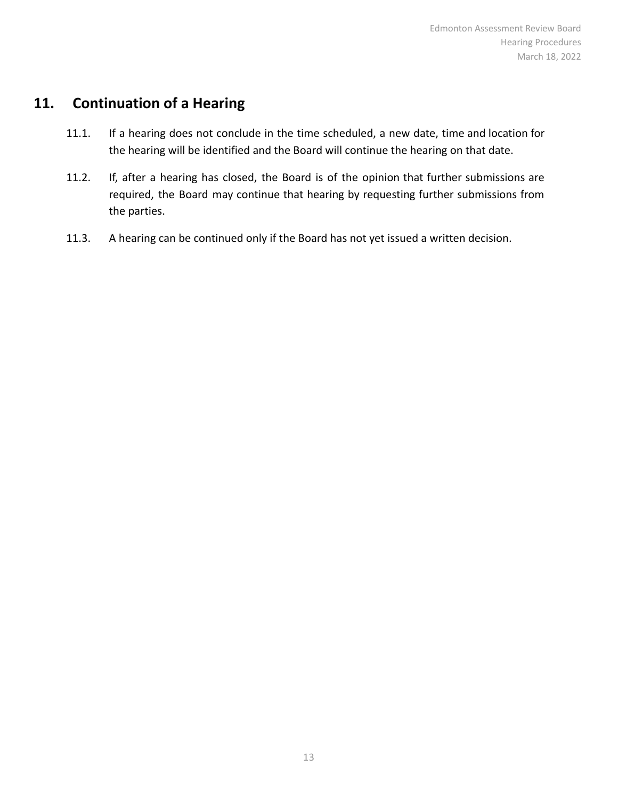### <span id="page-12-0"></span>**11. Continuation of a Hearing**

- 11.1. If a hearing does not conclude in the time scheduled, a new date, time and location for the hearing will be identified and the Board will continue the hearing on that date.
- 11.2. If, after a hearing has closed, the Board is of the opinion that further submissions are required, the Board may continue that hearing by requesting further submissions from the parties.
- 11.3. A hearing can be continued only if the Board has not yet issued a written decision.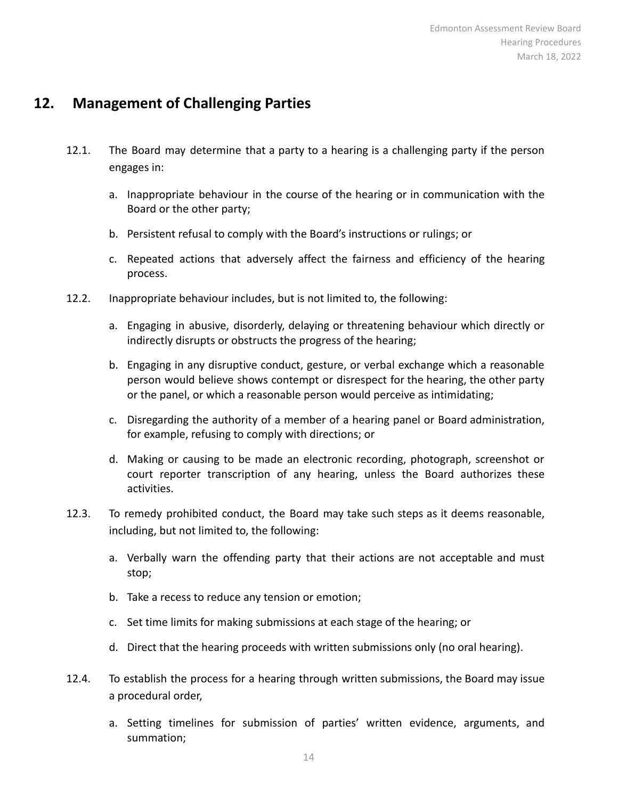### <span id="page-13-0"></span>**12. Management of Challenging Parties**

- 12.1. The Board may determine that a party to a hearing is a challenging party if the person engages in:
	- a. Inappropriate behaviour in the course of the hearing or in communication with the Board or the other party;
	- b. Persistent refusal to comply with the Board's instructions or rulings; or
	- c. Repeated actions that adversely affect the fairness and efficiency of the hearing process.
- 12.2. Inappropriate behaviour includes, but is not limited to, the following:
	- a. Engaging in abusive, disorderly, delaying or threatening behaviour which directly or indirectly disrupts or obstructs the progress of the hearing;
	- b. Engaging in any disruptive conduct, gesture, or verbal exchange which a reasonable person would believe shows contempt or disrespect for the hearing, the other party or the panel, or which a reasonable person would perceive as intimidating;
	- c. Disregarding the authority of a member of a hearing panel or Board administration, for example, refusing to comply with directions; or
	- d. Making or causing to be made an electronic recording, photograph, screenshot or court reporter transcription of any hearing, unless the Board authorizes these activities.
- 12.3. To remedy prohibited conduct, the Board may take such steps as it deems reasonable, including, but not limited to, the following:
	- a. Verbally warn the offending party that their actions are not acceptable and must stop;
	- b. Take a recess to reduce any tension or emotion;
	- c. Set time limits for making submissions at each stage of the hearing; or
	- d. Direct that the hearing proceeds with written submissions only (no oral hearing).
- 12.4. To establish the process for a hearing through written submissions, the Board may issue a procedural order,
	- a. Setting timelines for submission of parties' written evidence, arguments, and summation;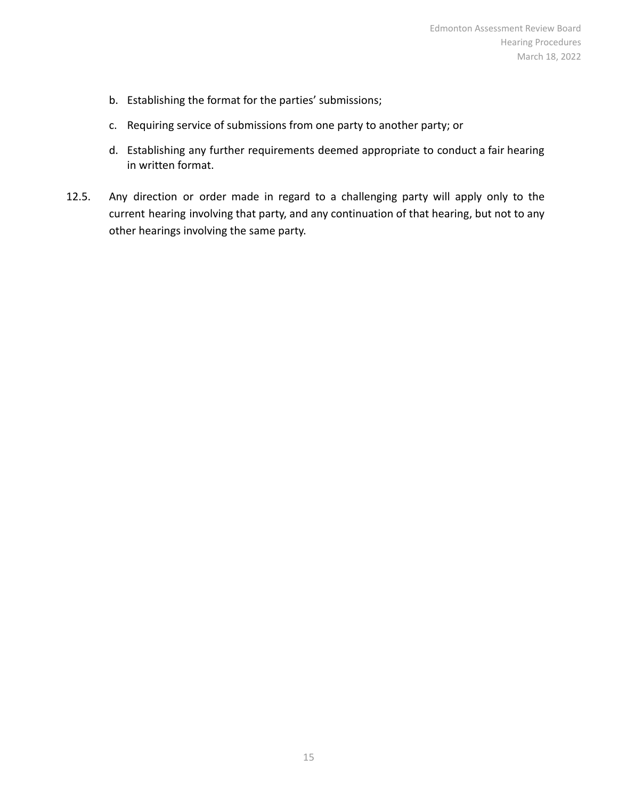- b. Establishing the format for the parties' submissions;
- c. Requiring service of submissions from one party to another party; or
- d. Establishing any further requirements deemed appropriate to conduct a fair hearing in written format.
- 12.5. Any direction or order made in regard to a challenging party will apply only to the current hearing involving that party, and any continuation of that hearing, but not to any other hearings involving the same party.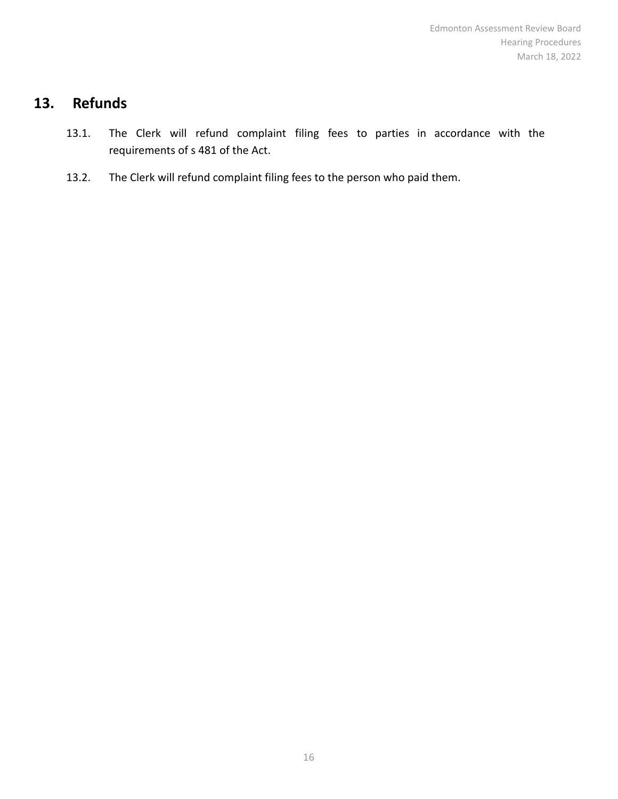# <span id="page-15-0"></span>**13. Refunds**

- 13.1. The Clerk will refund complaint filing fees to parties in accordance with the requirements of s 481 of the Act.
- 13.2. The Clerk will refund complaint filing fees to the person who paid them.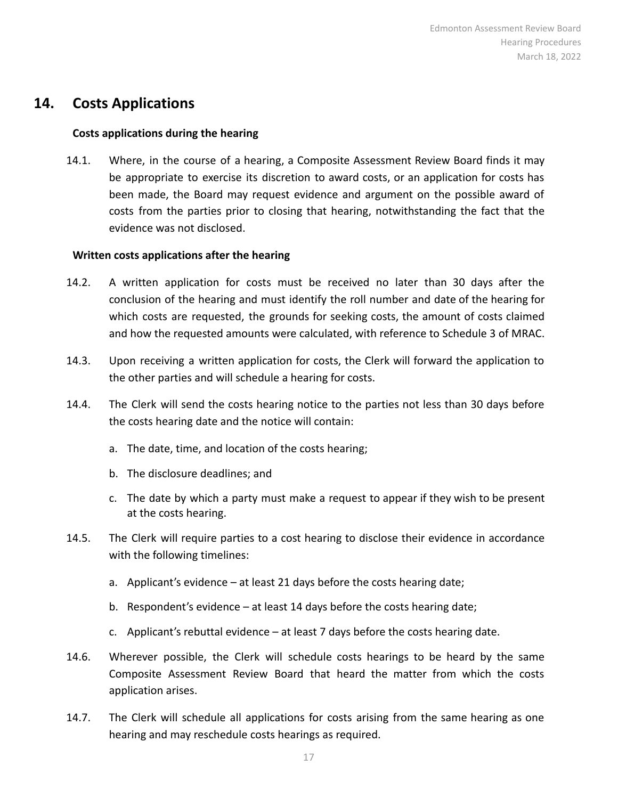#### <span id="page-16-0"></span>**14. Costs Applications**

#### **Costs applications during the hearing**

14.1. Where, in the course of a hearing, a Composite Assessment Review Board finds it may be appropriate to exercise its discretion to award costs, or an application for costs has been made, the Board may request evidence and argument on the possible award of costs from the parties prior to closing that hearing, notwithstanding the fact that the evidence was not disclosed.

#### **Written costs applications after the hearing**

- 14.2. A written application for costs must be received no later than 30 days after the conclusion of the hearing and must identify the roll number and date of the hearing for which costs are requested, the grounds for seeking costs, the amount of costs claimed and how the requested amounts were calculated, with reference to Schedule 3 of MRAC.
- 14.3. Upon receiving a written application for costs, the Clerk will forward the application to the other parties and will schedule a hearing for costs.
- 14.4. The Clerk will send the costs hearing notice to the parties not less than 30 days before the costs hearing date and the notice will contain:
	- a. The date, time, and location of the costs hearing;
	- b. The disclosure deadlines; and
	- c. The date by which a party must make a request to appear if they wish to be present at the costs hearing.
- 14.5. The Clerk will require parties to a cost hearing to disclose their evidence in accordance with the following timelines:
	- a. Applicant's evidence at least 21 days before the costs hearing date;
	- b. Respondent's evidence at least 14 days before the costs hearing date;
	- c. Applicant's rebuttal evidence at least 7 days before the costs hearing date.
- 14.6. Wherever possible, the Clerk will schedule costs hearings to be heard by the same Composite Assessment Review Board that heard the matter from which the costs application arises.
- 14.7. The Clerk will schedule all applications for costs arising from the same hearing as one hearing and may reschedule costs hearings as required.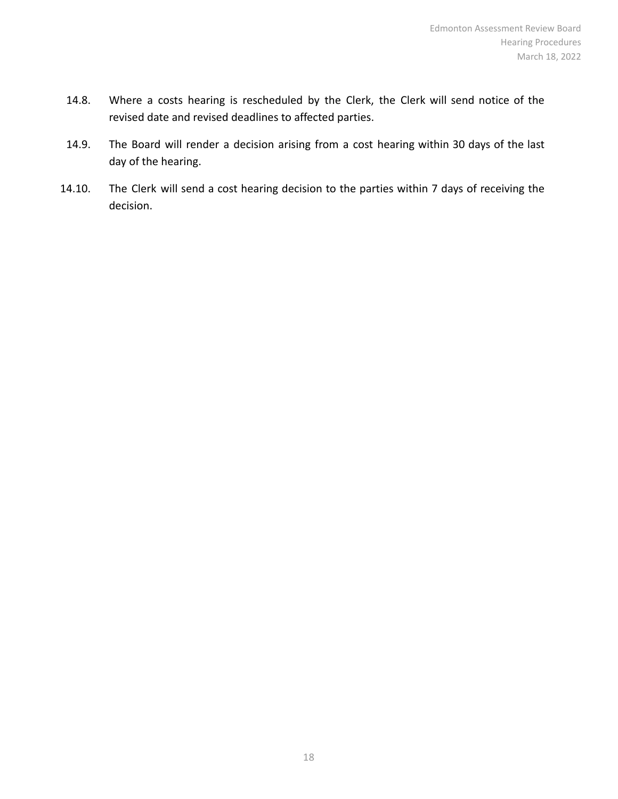- 14.8. Where a costs hearing is rescheduled by the Clerk, the Clerk will send notice of the revised date and revised deadlines to affected parties.
- 14.9. The Board will render a decision arising from a cost hearing within 30 days of the last day of the hearing.
- 14.10. The Clerk will send a cost hearing decision to the parties within 7 days of receiving the decision.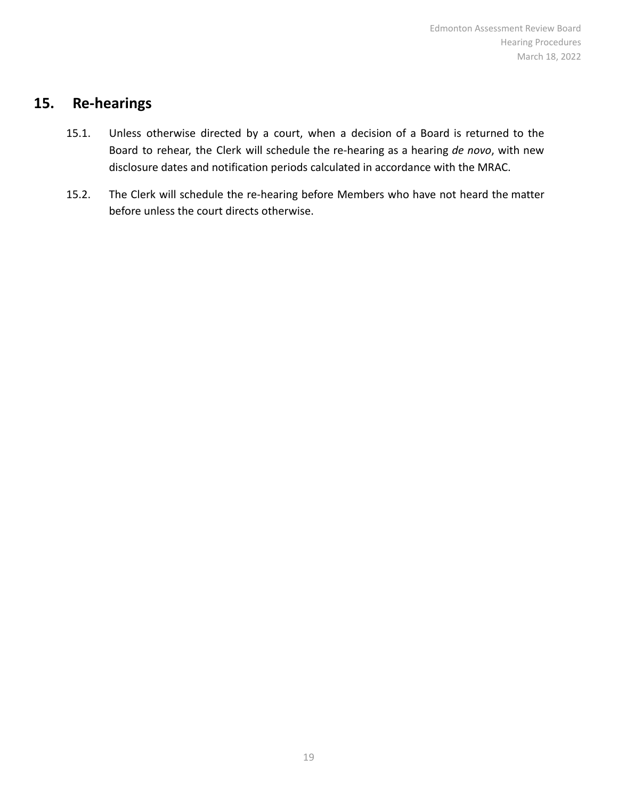#### <span id="page-18-0"></span>**15. Re-hearings**

- 15.1. Unless otherwise directed by a court, when a decision of a Board is returned to the Board to rehear, the Clerk will schedule the re-hearing as a hearing *de novo*, with new disclosure dates and notification periods calculated in accordance with the MRAC.
- 15.2. The Clerk will schedule the re-hearing before Members who have not heard the matter before unless the court directs otherwise.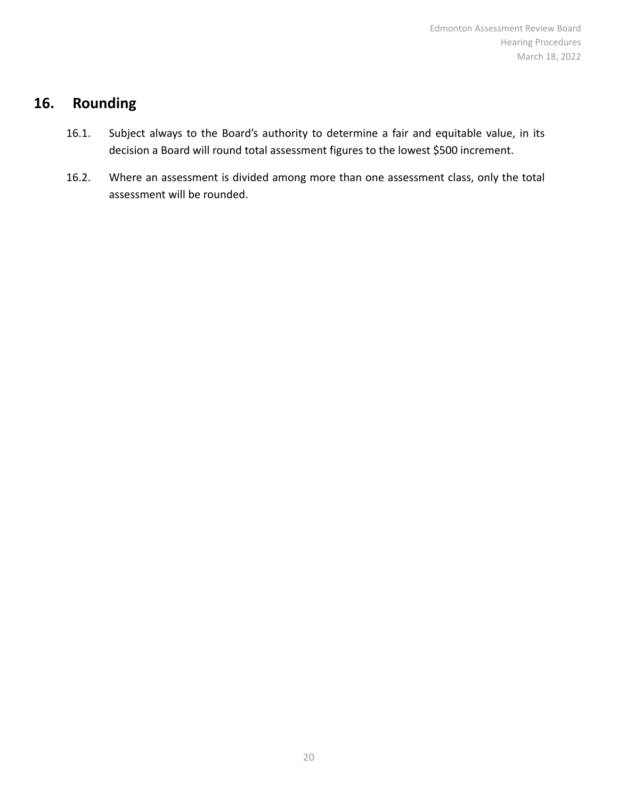# <span id="page-19-0"></span>**16. Rounding**

- 16.1. Subject always to the Board's authority to determine a fair and equitable value, in its decision a Board will round total assessment figures to the lowest \$500 increment.
- 16.2. Where an assessment is divided among more than one assessment class, only the total assessment will be rounded.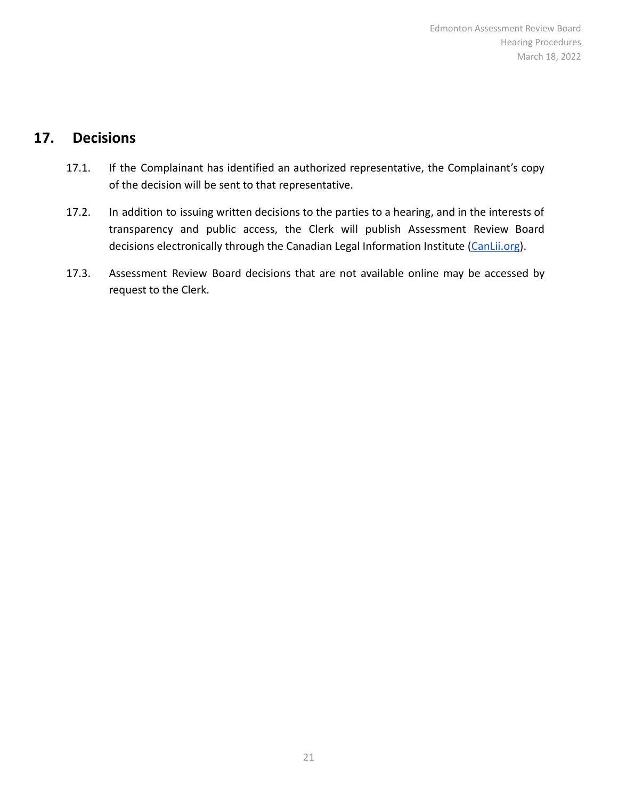### <span id="page-20-0"></span>**17. Decisions**

- 17.1. If the Complainant has identified an authorized representative, the Complainant's copy of the decision will be sent to that representative.
- 17.2. In addition to issuing written decisions to the parties to a hearing, and in the interests of transparency and public access, the Clerk will publish Assessment Review Board decisions electronically through the Canadian Legal Information Institute [\(CanLii.org](http://canlii.org)).
- 17.3. Assessment Review Board decisions that are not available online may be accessed by request to the Clerk.